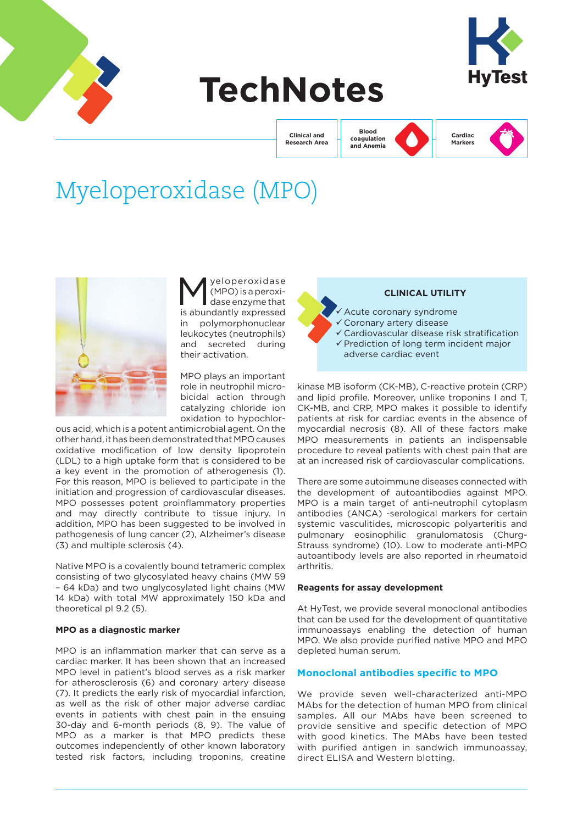

# **TechNotes**



**Clinical and Research Area**

**Blood coagulation and Anemia**



**Cardiac Markers**

# Myeloperoxidase (MPO)



yeloperoxidase (MPO) is a peroxidase enzyme that is abundantly expressed in polymorphonuclear leukocytes (neutrophils) and secreted during their activation.

MPO plays an important role in neutrophil microbicidal action through catalyzing chloride ion oxidation to hypochlor-

ous acid, which is a potent antimicrobial agent. On the other hand, it has been demonstrated that MPO causes oxidative modification of low density lipoprotein (LDL) to a high uptake form that is considered to be a key event in the promotion of atherogenesis (1). For this reason, MPO is believed to participate in the initiation and progression of cardiovascular diseases. MPO possesses potent proinflammatory properties and may directly contribute to tissue injury. In addition, MPO has been suggested to be involved in pathogenesis of lung cancer (2), Alzheimer's disease (3) and multiple sclerosis (4).

Native MPO is a covalently bound tetrameric complex consisting of two glycosylated heavy chains (MW 59 – 64 kDa) and two unglycosylated light chains (MW 14 kDa) with total MW approximately 150 kDa and theoretical pI 9.2 (5).

#### **MPO as a diagnostic marker**

MPO is an inflammation marker that can serve as a cardiac marker. It has been shown that an increased MPO level in patient's blood serves as a risk marker for atherosclerosis (6) and coronary artery disease (7). It predicts the early risk of myocardial infarction, as well as the risk of other major adverse cardiac events in patients with chest pain in the ensuing 30-day and 6-month periods (8, 9). The value of MPO as a marker is that MPO predicts these outcomes independently of other known laboratory tested risk factors, including troponins, creatine



kinase MB isoform (CK-MB), C-reactive protein (CRP) and lipid profile. Moreover, unlike troponins I and T, CK-MB, and CRP, MPO makes it possible to identify patients at risk for cardiac events in the absence of myocardial necrosis (8). All of these factors make MPO measurements in patients an indispensable procedure to reveal patients with chest pain that are at an increased risk of cardiovascular complications.

There are some autoimmune diseases connected with the development of autoantibodies against MPO. MPO is a main target of anti-neutrophil cytoplasm antibodies (ANCA) -serological markers for certain systemic vasculitides, microscopic polyarteritis and pulmonary eosinophilic granulomatosis (Churg-Strauss syndrome) (10). Low to moderate anti-MPO autoantibody levels are also reported in rheumatoid arthritis.

### **Reagents for assay development**

At HyTest, we provide several monoclonal antibodies that can be used for the development of quantitative immunoassays enabling the detection of human MPO. We also provide purified native MPO and MPO depleted human serum.

# **Monoclonal antibodies specific to MPO**

We provide seven well-characterized anti-MPO MAbs for the detection of human MPO from clinical samples. All our MAbs have been screened to provide sensitive and specific detection of MPO with good kinetics. The MAbs have been tested with purified antigen in sandwich immunoassay. direct ELISA and Western blotting.